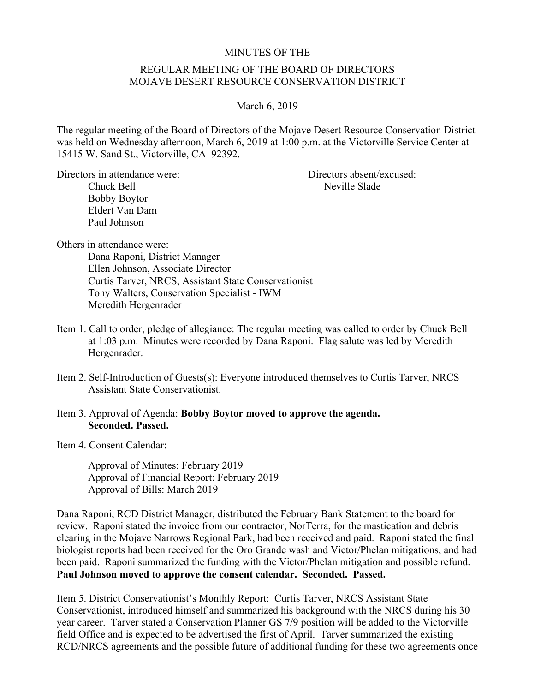## MINUTES OF THE

## REGULAR MEETING OF THE BOARD OF DIRECTORS MOJAVE DESERT RESOURCE CONSERVATION DISTRICT

## March 6, 2019

The regular meeting of the Board of Directors of the Mojave Desert Resource Conservation District was held on Wednesday afternoon, March 6, 2019 at 1:00 p.m. at the Victorville Service Center at 15415 W. Sand St., Victorville, CA 92392.

Directors in attendance were: Directors absent/excused: Chuck Bell Neville Slade Bobby Boytor Eldert Van Dam Paul Johnson

Others in attendance were:

Dana Raponi, District Manager Ellen Johnson, Associate Director Curtis Tarver, NRCS, Assistant State Conservationist Tony Walters, Conservation Specialist - IWM Meredith Hergenrader

- Item 1. Call to order, pledge of allegiance: The regular meeting was called to order by Chuck Bell at 1:03 p.m. Minutes were recorded by Dana Raponi. Flag salute was led by Meredith Hergenrader.
- Item 2. Self-Introduction of Guests(s): Everyone introduced themselves to Curtis Tarver, NRCS Assistant State Conservationist.

## Item 3. Approval of Agenda: **Bobby Boytor moved to approve the agenda. Seconded. Passed.**

Item 4. Consent Calendar:

Approval of Minutes: February 2019 Approval of Financial Report: February 2019 Approval of Bills: March 2019

Dana Raponi, RCD District Manager, distributed the February Bank Statement to the board for review. Raponi stated the invoice from our contractor, NorTerra, for the mastication and debris clearing in the Mojave Narrows Regional Park, had been received and paid. Raponi stated the final biologist reports had been received for the Oro Grande wash and Victor/Phelan mitigations, and had been paid. Raponi summarized the funding with the Victor/Phelan mitigation and possible refund. **Paul Johnson moved to approve the consent calendar. Seconded. Passed.**

Item 5. District Conservationist's Monthly Report: Curtis Tarver, NRCS Assistant State Conservationist, introduced himself and summarized his background with the NRCS during his 30 year career. Tarver stated a Conservation Planner GS 7/9 position will be added to the Victorville field Office and is expected to be advertised the first of April. Tarver summarized the existing RCD/NRCS agreements and the possible future of additional funding for these two agreements once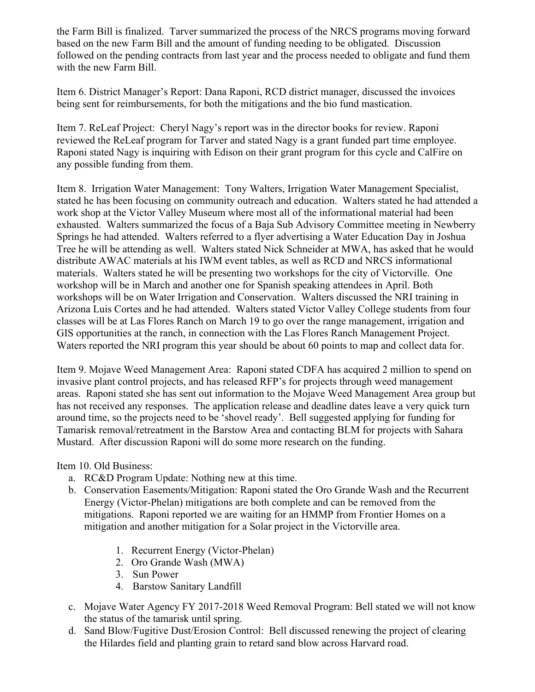the Farm Bill is finalized. Tarver summarized the process of the NRCS programs moving forward based on the new Farm Bill and the amount of funding needing to be obligated. Discussion followed on the pending contracts from last year and the process needed to obligate and fund them with the new Farm Bill.

Item 6. District Manager's Report: Dana Raponi, RCD district manager, discussed the invoices being sent for reimbursements, for both the mitigations and the bio fund mastication.

Item 7. ReLeaf Project: Cheryl Nagy's report was in the director books for review. Raponi reviewed the ReLeaf program for Tarver and stated Nagy is a grant funded part time employee. Raponi stated Nagy is inquiring with Edison on their grant program for this cycle and CalFire on any possible funding from them.

Item 8. Irrigation Water Management: Tony Walters, Irrigation Water Management Specialist, stated he has been focusing on community outreach and education. Walters stated he had attended a work shop at the Victor Valley Museum where most all of the informational material had been exhausted. Walters summarized the focus of a Baja Sub Advisory Committee meeting in Newberry Springs he had attended. Walters referred to a flyer advertising a Water Education Day in Joshua Tree he will be attending as well. Walters stated Nick Schneider at MWA, has asked that he would distribute AWAC materials at his IWM event tables, as well as RCD and NRCS informational materials. Walters stated he will be presenting two workshops for the city of Victorville. One workshop will be in March and another one for Spanish speaking attendees in April. Both workshops will be on Water Irrigation and Conservation. Walters discussed the NRI training in Arizona Luis Cortes and he had attended. Walters stated Victor Valley College students from four classes will be at Las Flores Ranch on March 19 to go over the range management, irrigation and GIS opportunities at the ranch, in connection with the Las Flores Ranch Management Project. Waters reported the NRI program this year should be about 60 points to map and collect data for.

Item 9. Mojave Weed Management Area: Raponi stated CDFA has acquired 2 million to spend on invasive plant control projects, and has released RFP's for projects through weed management areas. Raponi stated she has sent out information to the Mojave Weed Management Area group but has not received any responses. The application release and deadline dates leave a very quick turn around time, so the projects need to be 'shovel ready'. Bell suggested applying for funding for Tamarisk removal/retreatment in the Barstow Area and contacting BLM for projects with Sahara Mustard. After discussion Raponi will do some more research on the funding.

Item 10. Old Business:

- a. RC&D Program Update: Nothing new at this time.
- b. Conservation Easements/Mitigation: Raponi stated the Oro Grande Wash and the Recurrent Energy (Victor-Phelan) mitigations are both complete and can be removed from the mitigations. Raponi reported we are waiting for an HMMP from Frontier Homes on a mitigation and another mitigation for a Solar project in the Victorville area.
	- 1. Recurrent Energy (Victor-Phelan)
	- 2. Oro Grande Wash (MWA)
	- 3. Sun Power
	- 4. Barstow Sanitary Landfill
- c. Mojave Water Agency FY 2017-2018 Weed Removal Program: Bell stated we will not know the status of the tamarisk until spring.
- d. Sand Blow/Fugitive Dust/Erosion Control: Bell discussed renewing the project of clearing the Hilardes field and planting grain to retard sand blow across Harvard road.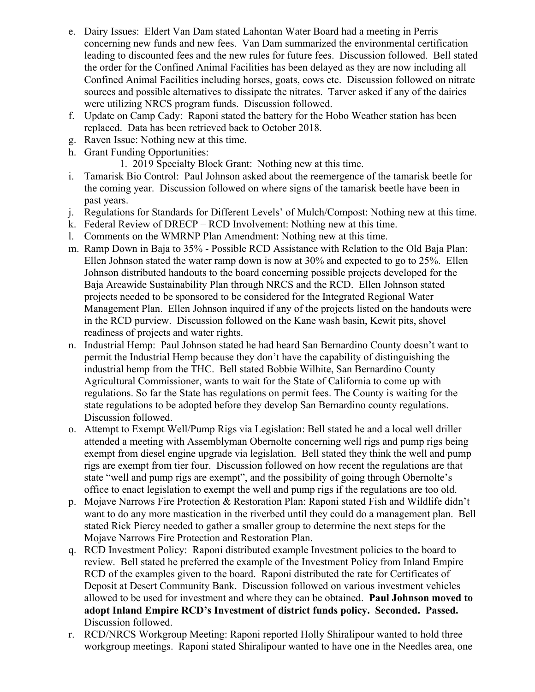- e. Dairy Issues: Eldert Van Dam stated Lahontan Water Board had a meeting in Perris concerning new funds and new fees. Van Dam summarized the environmental certification leading to discounted fees and the new rules for future fees. Discussion followed. Bell stated the order for the Confined Animal Facilities has been delayed as they are now including all Confined Animal Facilities including horses, goats, cows etc. Discussion followed on nitrate sources and possible alternatives to dissipate the nitrates. Tarver asked if any of the dairies were utilizing NRCS program funds. Discussion followed.
- f. Update on Camp Cady: Raponi stated the battery for the Hobo Weather station has been replaced. Data has been retrieved back to October 2018.
- g. Raven Issue: Nothing new at this time.
- h. Grant Funding Opportunities:
	- 1. 2019 Specialty Block Grant: Nothing new at this time.
- i. Tamarisk Bio Control: Paul Johnson asked about the reemergence of the tamarisk beetle for the coming year. Discussion followed on where signs of the tamarisk beetle have been in past years.
- j. Regulations for Standards for Different Levels' of Mulch/Compost: Nothing new at this time.
- k. Federal Review of DRECP RCD Involvement: Nothing new at this time.
- l. Comments on the WMRNP Plan Amendment: Nothing new at this time.
- m. Ramp Down in Baja to 35% Possible RCD Assistance with Relation to the Old Baja Plan: Ellen Johnson stated the water ramp down is now at 30% and expected to go to 25%. Ellen Johnson distributed handouts to the board concerning possible projects developed for the Baja Areawide Sustainability Plan through NRCS and the RCD. Ellen Johnson stated projects needed to be sponsored to be considered for the Integrated Regional Water Management Plan. Ellen Johnson inquired if any of the projects listed on the handouts were in the RCD purview. Discussion followed on the Kane wash basin, Kewit pits, shovel readiness of projects and water rights.
- n. Industrial Hemp: Paul Johnson stated he had heard San Bernardino County doesn't want to permit the Industrial Hemp because they don't have the capability of distinguishing the industrial hemp from the THC. Bell stated Bobbie Wilhite, San Bernardino County Agricultural Commissioner, wants to wait for the State of California to come up with regulations. So far the State has regulations on permit fees. The County is waiting for the state regulations to be adopted before they develop San Bernardino county regulations. Discussion followed.
- o. Attempt to Exempt Well/Pump Rigs via Legislation: Bell stated he and a local well driller attended a meeting with Assemblyman Obernolte concerning well rigs and pump rigs being exempt from diesel engine upgrade via legislation. Bell stated they think the well and pump rigs are exempt from tier four. Discussion followed on how recent the regulations are that state "well and pump rigs are exempt", and the possibility of going through Obernolte's office to enact legislation to exempt the well and pump rigs if the regulations are too old.
- p. Mojave Narrows Fire Protection & Restoration Plan: Raponi stated Fish and Wildlife didn't want to do any more mastication in the riverbed until they could do a management plan. Bell stated Rick Piercy needed to gather a smaller group to determine the next steps for the Mojave Narrows Fire Protection and Restoration Plan.
- q. RCD Investment Policy: Raponi distributed example Investment policies to the board to review. Bell stated he preferred the example of the Investment Policy from Inland Empire RCD of the examples given to the board. Raponi distributed the rate for Certificates of Deposit at Desert Community Bank. Discussion followed on various investment vehicles allowed to be used for investment and where they can be obtained. **Paul Johnson moved to adopt Inland Empire RCD's Investment of district funds policy. Seconded. Passed.**  Discussion followed.
- r. RCD/NRCS Workgroup Meeting: Raponi reported Holly Shiralipour wanted to hold three workgroup meetings. Raponi stated Shiralipour wanted to have one in the Needles area, one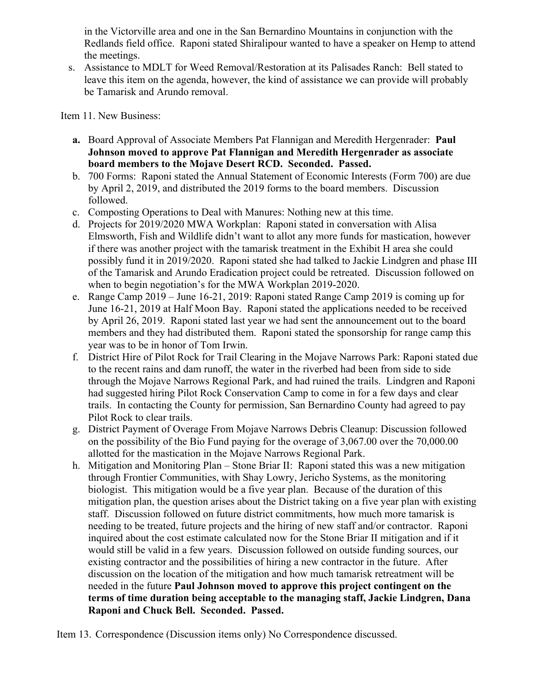in the Victorville area and one in the San Bernardino Mountains in conjunction with the Redlands field office. Raponi stated Shiralipour wanted to have a speaker on Hemp to attend the meetings.

s. Assistance to MDLT for Weed Removal/Restoration at its Palisades Ranch: Bell stated to leave this item on the agenda, however, the kind of assistance we can provide will probably be Tamarisk and Arundo removal.

Item 11. New Business:

- **a.** Board Approval of Associate Members Pat Flannigan and Meredith Hergenrader: **Paul Johnson moved to approve Pat Flannigan and Meredith Hergenrader as associate board members to the Mojave Desert RCD. Seconded. Passed.**
- b. 700 Forms: Raponi stated the Annual Statement of Economic Interests (Form 700) are due by April 2, 2019, and distributed the 2019 forms to the board members. Discussion followed.
- c. Composting Operations to Deal with Manures: Nothing new at this time.
- d. Projects for 2019/2020 MWA Workplan: Raponi stated in conversation with Alisa Elmsworth, Fish and Wildlife didn't want to allot any more funds for mastication, however if there was another project with the tamarisk treatment in the Exhibit H area she could possibly fund it in 2019/2020. Raponi stated she had talked to Jackie Lindgren and phase III of the Tamarisk and Arundo Eradication project could be retreated. Discussion followed on when to begin negotiation's for the MWA Workplan 2019-2020.
- e. Range Camp 2019 June 16-21, 2019: Raponi stated Range Camp 2019 is coming up for June 16-21, 2019 at Half Moon Bay. Raponi stated the applications needed to be received by April 26, 2019. Raponi stated last year we had sent the announcement out to the board members and they had distributed them. Raponi stated the sponsorship for range camp this year was to be in honor of Tom Irwin.
- f. District Hire of Pilot Rock for Trail Clearing in the Mojave Narrows Park: Raponi stated due to the recent rains and dam runoff, the water in the riverbed had been from side to side through the Mojave Narrows Regional Park, and had ruined the trails. Lindgren and Raponi had suggested hiring Pilot Rock Conservation Camp to come in for a few days and clear trails. In contacting the County for permission, San Bernardino County had agreed to pay Pilot Rock to clear trails.
- g. District Payment of Overage From Mojave Narrows Debris Cleanup: Discussion followed on the possibility of the Bio Fund paying for the overage of 3,067.00 over the 70,000.00 allotted for the mastication in the Mojave Narrows Regional Park.
- h. Mitigation and Monitoring Plan Stone Briar II: Raponi stated this was a new mitigation through Frontier Communities, with Shay Lowry, Jericho Systems, as the monitoring biologist. This mitigation would be a five year plan. Because of the duration of this mitigation plan, the question arises about the District taking on a five year plan with existing staff. Discussion followed on future district commitments, how much more tamarisk is needing to be treated, future projects and the hiring of new staff and/or contractor. Raponi inquired about the cost estimate calculated now for the Stone Briar II mitigation and if it would still be valid in a few years. Discussion followed on outside funding sources, our existing contractor and the possibilities of hiring a new contractor in the future. After discussion on the location of the mitigation and how much tamarisk retreatment will be needed in the future **Paul Johnson moved to approve this project contingent on the terms of time duration being acceptable to the managing staff, Jackie Lindgren, Dana Raponi and Chuck Bell. Seconded. Passed.**

Item 13. Correspondence (Discussion items only) No Correspondence discussed.